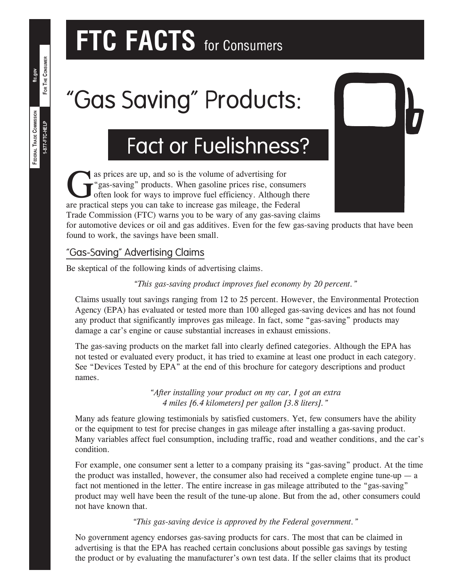# **FTC FACTS** for Consumers

# "Gas Saving" Products:

## Fact or Fuelishness?

as prices are up, and so is the volume of advertising for<br>
"gas-saving" products. When gasoline prices rise, consulted<br>
often look for ways to improve fuel efficiency. Although<br>
are practical steps you can take to increase "gas-saving" products. When gasoline prices rise, consumers often look for ways to improve fuel efficiency. Although there are practical steps you can take to increase gas mileage, the Federal Trade Commission (FTC) warns you to be wary of any gas‑saving claims

for automotive devices or oil and gas additives. Even for the few gas-saving products that have been found to work, the savings have been small.

#### "Gas‑Saving" Advertising Claims

Be skeptical of the following kinds of advertising claims.

*"This gas‑saving product improves fuel economy by 20 percent."*

Claims usually tout savings ranging from 12 to 25 percent. However, the Environmental Protection Agency (EPA) has evaluated or tested more than 100 alleged gas‑saving devices and has not found any product that significantly improves gas mileage. In fact, some "gas-saving" products may damage a car's engine or cause substantial increases in exhaust emissions.

The gas‑saving products on the market fall into clearly defined categories. Although the EPA has not tested or evaluated every product, it has tried to examine at least one product in each category. See "Devices Tested by EPA" at the end of this brochure for category descriptions and product names.

> *"After installing your product on my car, I got an extra 4 miles [6.4 kilometers] per gallon [3.8 liters]."*

Many ads feature glowing testimonials by satisfied customers. Yet, few consumers have the ability or the equipment to test for precise changes in gas mileage after installing a gas-saving product. Many variables affect fuel consumption, including traffic, road and weather conditions, and the car's condition.

For example, one consumer sent a letter to a company praising its "gas-saving" product. At the time the product was installed, however, the consumer also had received a complete engine tune-up  $-$  a fact not mentioned in the letter. The entire increase in gas mileage attributed to the "gas-saving" product may well have been the result of the tune‑up alone. But from the ad, other consumers could not have known that.

*"This gas‑saving device is approved by the Federal government."*

No government agency endorses gas‑saving products for cars. The most that can be claimed in advertising is that the EPA has reached certain conclusions about possible gas savings by testing the product or by evaluating the manufacturer's own test data. If the seller claims that its product

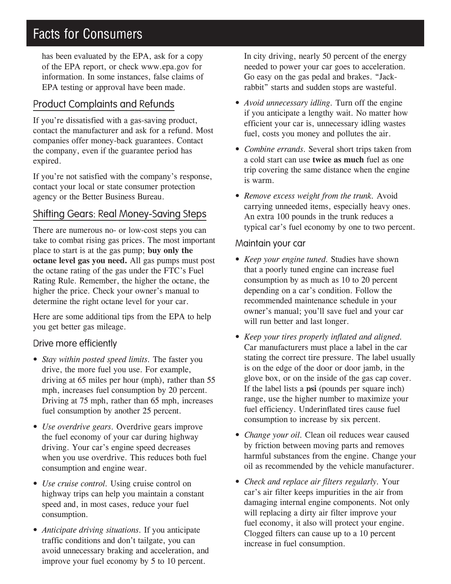### Facts for Consumers

has been evaluated by the EPA, ask for a copy of the EPA report, or check www.epa.gov for information. In some instances, false claims of EPA testing or approval have been made.

#### Product Complaints and Refunds

If you're dissatisfied with a gas-saving product, contact the manufacturer and ask for a refund. Most companies offer money-back guarantees. Contact the company, even if the guarantee period has expired.

If you're not satisfied with the company's response, contact your local or state consumer protection agency or the Better Business Bureau.

#### Shifting Gears: Real Money‑Saving Steps

There are numerous no- or low-cost steps you can take to combat rising gas prices. The most important place to start is at the gas pump; **buy only the octane level gas you need.** All gas pumps must post the octane rating of the gas under the FTC's Fuel Rating Rule. Remember, the higher the octane, the higher the price. Check your owner's manual to determine the right octane level for your car.

Here are some additional tips from the EPA to help you get better gas mileage.

#### Drive more efficiently

- *Stay within posted speed limits.* The faster you drive, the more fuel you use. For example, driving at 65 miles per hour (mph), rather than 55 mph, increases fuel consumption by 20 percent. Driving at 75 mph, rather than 65 mph, increases fuel consumption by another 25 percent.
- *Use overdrive gears.* Overdrive gears improve the fuel economy of your car during highway driving. Your car's engine speed decreases when you use overdrive. This reduces both fuel consumption and engine wear.
- *Use cruise control.* Using cruise control on highway trips can help you maintain a constant speed and, in most cases, reduce your fuel consumption.
- *Anticipate driving situations.* If you anticipate traffic conditions and don't tailgate, you can avoid unnecessary braking and acceleration, and improve your fuel economy by 5 to 10 percent.

In city driving, nearly 50 percent of the energy needed to power your car goes to acceleration. Go easy on the gas pedal and brakes. "Jackrabbit" starts and sudden stops are wasteful.

- *Avoid unnecessary idling.* Turn off the engine if you anticipate a lengthy wait. No matter how efficient your car is, unnecessary idling wastes fuel, costs you money and pollutes the air.
- *Combine errands.* Several short trips taken from a cold start can use **twice as much** fuel as one trip covering the same distance when the engine is warm.
- *Remove excess weight from the trunk.* Avoid carrying unneeded items, especially heavy ones. An extra 100 pounds in the trunk reduces a typical car's fuel economy by one to two percent.

#### Maintain your car

- *Keep your engine tuned.* Studies have shown that a poorly tuned engine can increase fuel consumption by as much as 10 to 20 percent depending on a car's condition. Follow the recommended maintenance schedule in your owner's manual; you'll save fuel and your car will run better and last longer.
- *Keep your tires properly inflated and aligned.* Car manufacturers must place a label in the car stating the correct tire pressure. The label usually is on the edge of the door or door jamb, in the glove box, or on the inside of the gas cap cover. If the label lists a **psi** (pounds per square inch) range, use the higher number to maximize your fuel efficiency. Underinflated tires cause fuel consumption to increase by six percent.
- *Change your oil.* Clean oil reduces wear caused by friction between moving parts and removes harmful substances from the engine. Change your oil as recommended by the vehicle manufacturer.
- *Check and replace air filters regularly.* Your car's air filter keeps impurities in the air from damaging internal engine components. Not only will replacing a dirty air filter improve your fuel economy, it also will protect your engine. Clogged filters can cause up to a 10 percent increase in fuel consumption.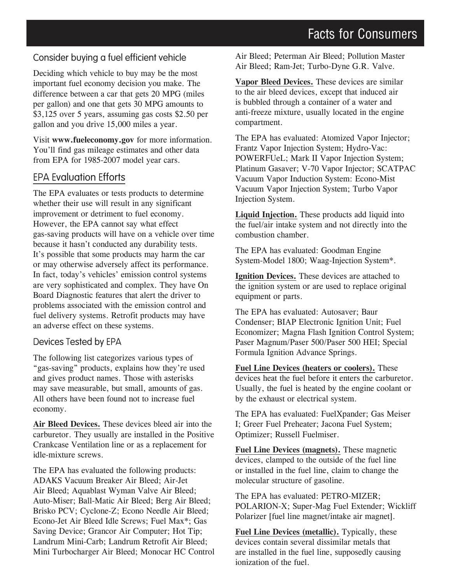#### Consider buying a fuel efficient vehicle

Deciding which vehicle to buy may be the most important fuel economy decision you make. The difference between a car that gets 20 MPG (miles per gallon) and one that gets 30 MPG amounts to \$3,125 over 5 years, assuming gas costs \$2.50 per gallon and you drive 15,000 miles a year.

Visit **www.fueleconomy.gov** for more information. You'll find gas mileage estimates and other data from EPA for 1985-2007 model year cars.

#### EPA Evaluation Efforts

The EPA evaluates or tests products to determine whether their use will result in any significant improvement or detriment to fuel economy. However, the EPA cannot say what effect gas‑saving products will have on a vehicle over time because it hasn't conducted any durability tests. It's possible that some products may harm the car or may otherwise adversely affect its performance. In fact, today's vehicles' emission control systems are very sophisticated and complex. They have On Board Diagnostic features that alert the driver to problems associated with the emission control and fuel delivery systems. Retrofit products may have an adverse effect on these systems.

#### Devices Tested by EPA

The following list categorizes various types of "gas‑saving" products, explains how they're used and gives product names. Those with asterisks may save measurable, but small, amounts of gas. All others have been found not to increase fuel economy.

**Air Bleed Devices.** These devices bleed air into the carburetor. They usually are installed in the Positive Crankcase Ventilation line or as a replacement for idle‑mixture screws.

The EPA has evaluated the following products: ADAKS Vacuum Breaker Air Bleed; Air‑Jet Air Bleed; Aquablast Wyman Valve Air Bleed; Auto‑Miser; Ball‑Matic Air Bleed; Berg Air Bleed; Brisko PCV; Cyclone-Z; Econo Needle Air Bleed; Econo‑Jet Air Bleed Idle Screws; Fuel Max\*; Gas Saving Device; Grancor Air Computer; Hot Tip; Landrum Mini‑Carb; Landrum Retrofit Air Bleed; Mini Turbocharger Air Bleed; Monocar HC Control Air Bleed; Peterman Air Bleed; Pollution Master Air Bleed; Ram‑Jet; Turbo‑Dyne G.R. Valve.

**Vapor Bleed Devices.** These devices are similar to the air bleed devices, except that induced air is bubbled through a container of a water and anti-freeze mixture, usually located in the engine compartment.

The EPA has evaluated: Atomized Vapor Injector; Frantz Vapor Injection System; Hydro-Vac: POWERFUeL; Mark II Vapor Injection System; Platinum Gasaver; V‑70 Vapor Injector; SCATPAC Vacuum Vapor Induction System: Econo‑Mist Vacuum Vapor Injection System; Turbo Vapor Injection System.

**Liquid Injection.** These products add liquid into the fuel/air intake system and not directly into the combustion chamber.

The EPA has evaluated: Goodman Engine System‑Model 1800; Waag‑Injection System\*.

**Ignition Devices.** These devices are attached to the ignition system or are used to replace original equipment or parts.

The EPA has evaluated: Autosaver; Baur Condenser; BIAP Electronic Ignition Unit; Fuel Economizer; Magna Flash Ignition Control System; Paser Magnum/Paser 500/Paser 500 HEI; Special Formula Ignition Advance Springs.

**Fuel Line Devices (heaters or coolers).** These devices heat the fuel before it enters the carburetor. Usually, the fuel is heated by the engine coolant or by the exhaust or electrical system.

The EPA has evaluated: FuelXpander; Gas Meiser I; Greer Fuel Preheater; Jacona Fuel System; Optimizer; Russell Fuelmiser.

**Fuel Line Devices (magnets).** These magnetic devices, clamped to the outside of the fuel line or installed in the fuel line, claim to change the molecular structure of gasoline.

The EPA has evaluated: PETRO‑MIZER; POLARION‑X; Super‑Mag Fuel Extender; Wickliff Polarizer [fuel line magnet/intake air magnet].

**Fuel Line Devices (metallic).** Typically, these devices contain several dissimilar metals that are installed in the fuel line, supposedly causing ionization of the fuel.